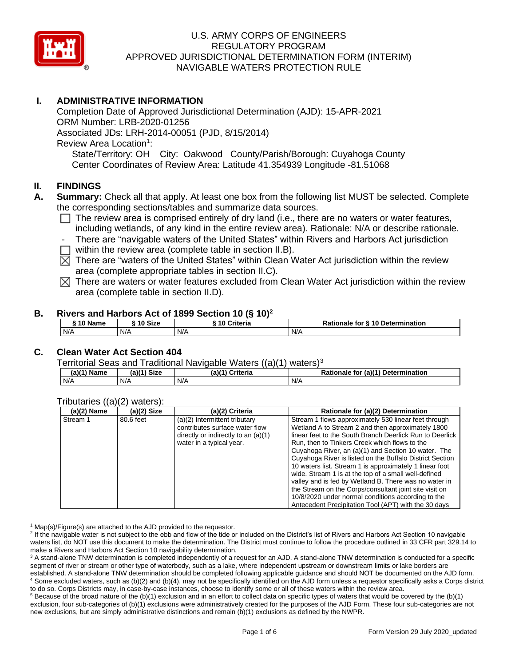

# **I. ADMINISTRATIVE INFORMATION**

Completion Date of Approved Jurisdictional Determination (AJD): 15-APR-2021 ORM Number: LRB-2020-01256 Associated JDs: LRH-2014-00051 (PJD, 8/15/2014) Review Area Location<sup>1</sup>: State/Territory: OH City: Oakwood County/Parish/Borough: Cuyahoga County Center Coordinates of Review Area: Latitude 41.354939 Longitude -81.51068

### **II. FINDINGS**

- **A. Summary:** Check all that apply. At least one box from the following list MUST be selected. Complete the corresponding sections/tables and summarize data sources.
	- $\Box$  The review area is comprised entirely of dry land (i.e., there are no waters or water features, including wetlands, of any kind in the entire review area). Rationale: N/A or describe rationale.
		- There are "navigable waters of the United States" within Rivers and Harbors Act jurisdiction within the review area (complete table in section II.B).
	- $\boxtimes$  There are "waters of the United States" within Clean Water Act jurisdiction within the review area (complete appropriate tables in section II.C).
	- $\boxtimes$  There are waters or water features excluded from Clean Water Act jurisdiction within the review area (complete table in section II.D).

### **B. Rivers and Harbors Act of 1899 Section 10 (§ 10)<sup>2</sup>**

| 10 Name | 10 Size | Criteria | Rationale for § 10 Determination |
|---------|---------|----------|----------------------------------|
| N/A     | N/F     | N/A      | N/A                              |

# **C. Clean Water Act Section 404**

Territorial Seas and Traditional Navigable Waters  $((a)(1)$  waters)<sup>3</sup>

| (a)(1) $^{\prime\prime}$ | <b>Size</b> | $(a)$ $(4)$ | for (a)(1) Determination |
|--------------------------|-------------|-------------|--------------------------|
| Name                     | $(a)$ $(4)$ | Criteria    | <b>Rationale</b>         |
| N/A                      | N/A         | N/A         | N/A                      |

#### Tributaries ((a)(2) waters):

| $(a)(2)$ Name | $(a)(2)$ Size | (a)(2) Criteria                       | Rationale for (a)(2) Determination                       |
|---------------|---------------|---------------------------------------|----------------------------------------------------------|
| Stream 1      | 80.6 feet     | (a)(2) Intermittent tributary         | Stream 1 flows approximately 530 linear feet through     |
|               |               | contributes surface water flow        | Wetland A to Stream 2 and then approximately 1800        |
|               |               | directly or indirectly to an $(a)(1)$ | linear feet to the South Branch Deerlick Run to Deerlick |
|               |               | water in a typical year.              | Run, then to Tinkers Creek which flows to the            |
|               |               |                                       | Cuyahoga River, an (a)(1) and Section 10 water. The      |
|               |               |                                       | Cuvahoga River is listed on the Buffalo District Section |
|               |               |                                       | 10 waters list. Stream 1 is approximately 1 linear foot  |
|               |               |                                       | wide. Stream 1 is at the top of a small well-defined     |
|               |               |                                       | valley and is fed by Wetland B. There was no water in    |
|               |               |                                       | the Stream on the Corps/consultant joint site visit on   |
|               |               |                                       | 10/8/2020 under normal conditions according to the       |
|               |               |                                       | Antecedent Precipitation Tool (APT) with the 30 days     |

 $1$  Map(s)/Figure(s) are attached to the AJD provided to the requestor.

<sup>2</sup> If the navigable water is not subject to the ebb and flow of the tide or included on the District's list of Rivers and Harbors Act Section 10 navigable waters list, do NOT use this document to make the determination. The District must continue to follow the procedure outlined in 33 CFR part 329.14 to make a Rivers and Harbors Act Section 10 navigability determination.

<sup>3</sup> A stand-alone TNW determination is completed independently of a request for an AJD. A stand-alone TNW determination is conducted for a specific segment of river or stream or other type of waterbody, such as a lake, where independent upstream or downstream limits or lake borders are established. A stand-alone TNW determination should be completed following applicable guidance and should NOT be documented on the AJD form. <sup>4</sup> Some excluded waters, such as (b)(2) and (b)(4), may not be specifically identified on the AJD form unless a requestor specifically asks a Corps district to do so. Corps Districts may, in case-by-case instances, choose to identify some or all of these waters within the review area.

 $5$  Because of the broad nature of the (b)(1) exclusion and in an effort to collect data on specific types of waters that would be covered by the (b)(1) exclusion, four sub-categories of (b)(1) exclusions were administratively created for the purposes of the AJD Form. These four sub-categories are not new exclusions, but are simply administrative distinctions and remain (b)(1) exclusions as defined by the NWPR.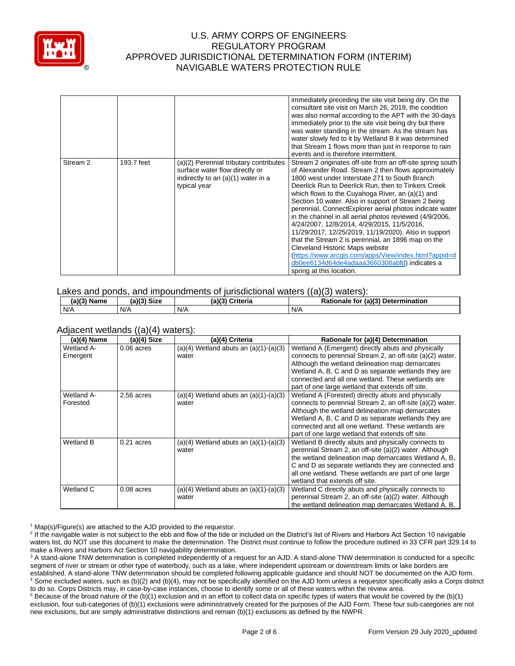

|          |            |                                                                                                                                | immediately preceding the site visit being dry. On the<br>consultant site visit on March 26, 2019, the condition<br>was also normal according to the APT with the 30-days<br>immediately prior to the site visit being dry but there<br>was water standing in the stream. As the stream has<br>water slowly fed to it by Wetland B it was determined<br>that Stream 1 flows more than just in response to rain<br>events and is therefore intermittent.                                                                                                                                                                                                                                                                                                                                          |
|----------|------------|--------------------------------------------------------------------------------------------------------------------------------|--------------------------------------------------------------------------------------------------------------------------------------------------------------------------------------------------------------------------------------------------------------------------------------------------------------------------------------------------------------------------------------------------------------------------------------------------------------------------------------------------------------------------------------------------------------------------------------------------------------------------------------------------------------------------------------------------------------------------------------------------------------------------------------------------|
| Stream 2 | 193.7 feet | (a)(2) Perennial tributary contributes<br>surface water flow directly or<br>indirectly to an (a)(1) water in a<br>typical year | Stream 2 originates off-site from an off-site spring south<br>of Alexander Road. Stream 2 then flows approximately<br>1800 west under Interstate 271 to South Branch<br>Deerlick Run to Deerlick Run, then to Tinkers Creek<br>which flows to the Cuyahoga River, an (a)(1) and<br>Section 10 water. Also in support of Stream 2 being<br>perennial, ConnectExplorer aerial photos indicate water<br>in the channel in all aerial photos reviewed (4/9/2006,<br>4/24/2007, 12/8/2014, 4/29/2015, 11/5/2016,<br>11/29/2017, 12/25/2019, 11/19/2020). Also in support<br>that the Stream 2 is perennial, an 1896 map on the<br>Cleveland Historic Maps website<br>(https://www.arcgis.com/apps/View/index.html?appid=d<br>db0ee6134d64de4adaaa3660308abfd) indicates a<br>spring at this location. |

Lakes and ponds, and impoundments of jurisdictional waters ((a)(3) waters):

| $(a)(3)$ Name | $(a)(3)$ Size | (a)(3) Criteria | Rationale for (a)(3) Determination |
|---------------|---------------|-----------------|------------------------------------|
| N/A           | N/A           | N/A             | N/A                                |

#### Adjacent wetlands ((a)(4) waters):

| (a)(4) Name            | (a)(4) Size  | (a)(4) Criteria                                    | Rationale for (a)(4) Determination                                                                                                                                                                                                                                                                                                 |
|------------------------|--------------|----------------------------------------------------|------------------------------------------------------------------------------------------------------------------------------------------------------------------------------------------------------------------------------------------------------------------------------------------------------------------------------------|
| Wetland A-<br>Emergent | 0.06 acres   | (a)(4) Wetland abuts an (a)(1)-(a)(3)<br>water     | Wetland A (Emergent) directly abuts and physically<br>connects to perennial Stream 2, an off-site (a)(2) water.<br>Although the wetland delineation map demarcates<br>Wetland A, B, C and D as separate wetlands they are<br>connected and all one wetland. These wetlands are<br>part of one large wetland that extends off site. |
| Wetland A-<br>Forested | 2.56 acres   | $(a)(4)$ Wetland abuts an $(a)(1)-(a)(3)$<br>water | Wetland A (Forested) directly abuts and physically<br>connects to perennial Stream 2, an off-site (a)(2) water.<br>Although the wetland delineation map demarcates<br>Wetland A, B, C and D as separate wetlands they are<br>connected and all one wetland. These wetlands are<br>part of one large wetland that extends off site. |
| <b>Wetland B</b>       | 0.21 acres   | (a)(4) Wetland abuts an (a)(1)-(a)(3)<br>water     | Wetland B directly abuts and physically connects to<br>perennial Stream 2, an off-site (a)(2) water. Although<br>the wetland delineation map demarcates Wetland A, B,<br>C and D as separate wetlands they are connected and<br>all one wetland. These wetlands are part of one large<br>wetland that extends off site.            |
| Wetland C              | $0.08$ acres | (a)(4) Wetland abuts an (a)(1)-(a)(3)<br>water     | Wetland C directly abuts and physically connects to<br>perennial Stream 2, an off-site (a)(2) water. Although<br>the wetland delineation map demarcates Wetland A, B,                                                                                                                                                              |

 $1$  Map(s)/Figure(s) are attached to the AJD provided to the requestor.

<sup>2</sup> If the navigable water is not subject to the ebb and flow of the tide or included on the District's list of Rivers and Harbors Act Section 10 navigable waters list, do NOT use this document to make the determination. The District must continue to follow the procedure outlined in 33 CFR part 329.14 to make a Rivers and Harbors Act Section 10 navigability determination.

<sup>3</sup> A stand-alone TNW determination is completed independently of a request for an AJD. A stand-alone TNW determination is conducted for a specific segment of river or stream or other type of waterbody, such as a lake, where independent upstream or downstream limits or lake borders are established. A stand-alone TNW determination should be completed following applicable guidance and should NOT be documented on the AJD form. <sup>4</sup> Some excluded waters, such as (b)(2) and (b)(4), may not be specifically identified on the AJD form unless a requestor specifically asks a Corps district to do so. Corps Districts may, in case-by-case instances, choose to identify some or all of these waters within the review area.

<sup>5</sup> Because of the broad nature of the (b)(1) exclusion and in an effort to collect data on specific types of waters that would be covered by the (b)(1) exclusion, four sub-categories of (b)(1) exclusions were administratively created for the purposes of the AJD Form. These four sub-categories are not new exclusions, but are simply administrative distinctions and remain (b)(1) exclusions as defined by the NWPR.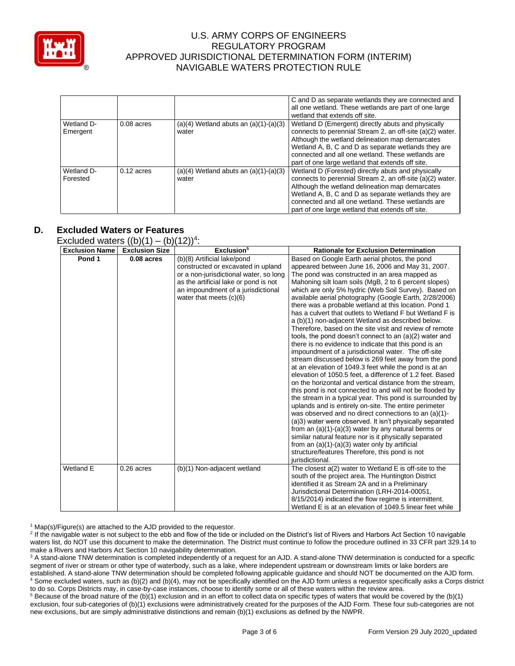

|                        |              |                                                    | C and D as separate wetlands they are connected and<br>all one wetland. These wetlands are part of one large<br>wetland that extends off site.                                                                                                                                                                                     |
|------------------------|--------------|----------------------------------------------------|------------------------------------------------------------------------------------------------------------------------------------------------------------------------------------------------------------------------------------------------------------------------------------------------------------------------------------|
| Wetland D-<br>Emergent | $0.08$ acres | $(a)(4)$ Wetland abuts an $(a)(1)-(a)(3)$<br>water | Wetland D (Emergent) directly abuts and physically<br>connects to perennial Stream 2, an off-site (a)(2) water.<br>Although the wetland delineation map demarcates<br>Wetland A, B, C and D as separate wetlands they are<br>connected and all one wetland. These wetlands are<br>part of one large wetland that extends off site. |
| Wetland D-<br>Forested | $0.12$ acres | $(a)(4)$ Wetland abuts an $(a)(1)-(a)(3)$<br>water | Wetland D (Forested) directly abuts and physically<br>connects to perennial Stream 2, an off-site (a)(2) water.<br>Although the wetland delineation map demarcates<br>Wetland A, B, C and D as separate wetlands they are<br>connected and all one wetland. These wetlands are<br>part of one large wetland that extends off site. |

# **D. Excluded Waters or Features**

Excluded waters  $((b)(1) - (b)(12))^4$ :

| <b>Exclusion Name</b> | $(2)(1)$ $(2)(1)$<br><b>Exclusion Size</b> | Exclusion <sup>5</sup>                 | <b>Rationale for Exclusion Determination</b>                                                                        |
|-----------------------|--------------------------------------------|----------------------------------------|---------------------------------------------------------------------------------------------------------------------|
| Pond 1                | $0.08$ acres                               | (b)(8) Artificial lake/pond            | Based on Google Earth aerial photos, the pond                                                                       |
|                       |                                            | constructed or excavated in upland     | appeared between June 16, 2006 and May 31, 2007.                                                                    |
|                       |                                            | or a non-jurisdictional water, so long | The pond was constructed in an area mapped as                                                                       |
|                       |                                            | as the artificial lake or pond is not  | Mahoning silt loam soils (MgB, 2 to 6 percent slopes)                                                               |
|                       |                                            | an impoundment of a jurisdictional     | which are only 5% hydric (Web Soil Survey). Based on                                                                |
|                       |                                            | water that meets $(c)(6)$              | available aerial photography (Google Earth, 2/28/2006)                                                              |
|                       |                                            |                                        | there was a probable wetland at this location. Pond 1                                                               |
|                       |                                            |                                        | has a culvert that outlets to Wetland F but Wetland F is                                                            |
|                       |                                            |                                        | a (b)(1) non-adjacent Wetland as described below.                                                                   |
|                       |                                            |                                        | Therefore, based on the site visit and review of remote                                                             |
|                       |                                            |                                        | tools, the pond doesn't connect to an (a)(2) water and                                                              |
|                       |                                            |                                        | there is no evidence to indicate that this pond is an                                                               |
|                       |                                            |                                        | impoundment of a jurisdictional water. The off-site                                                                 |
|                       |                                            |                                        | stream discussed below is 269 feet away from the pond                                                               |
|                       |                                            |                                        | at an elevation of 1049.3 feet while the pond is at an<br>elevation of 1050.5 feet, a difference of 1.2 feet. Based |
|                       |                                            |                                        | on the horizontal and vertical distance from the stream,                                                            |
|                       |                                            |                                        | this pond is not connected to and will not be flooded by                                                            |
|                       |                                            |                                        | the stream in a typical year. This pond is surrounded by                                                            |
|                       |                                            |                                        | uplands and is entirely on-site. The entire perimeter                                                               |
|                       |                                            |                                        | was observed and no direct connections to an (a)(1)-                                                                |
|                       |                                            |                                        | (a)3) water were observed. It isn't physically separated                                                            |
|                       |                                            |                                        | from an $(a)(1)-(a)(3)$ water by any natural berms or                                                               |
|                       |                                            |                                        | similar natural feature nor is it physically separated                                                              |
|                       |                                            |                                        | from an $(a)(1)-(a)(3)$ water only by artificial                                                                    |
|                       |                                            |                                        | structure/features Therefore, this pond is not                                                                      |
|                       |                                            |                                        | jurisdictional.                                                                                                     |
| Wetland E             | 0.26 acres                                 | (b)(1) Non-adjacent wetland            | The closest $a(2)$ water to Wetland E is off-site to the                                                            |
|                       |                                            |                                        | south of the project area. The Huntington District                                                                  |
|                       |                                            |                                        | identified it as Stream 2A and in a Preliminary                                                                     |
|                       |                                            |                                        | Jurisdictional Determination (LRH-2014-00051,                                                                       |
|                       |                                            |                                        | 8/15/2014) indicated the flow regime is intermittent.                                                               |
|                       |                                            |                                        | Wetland E is at an elevation of 1049.5 linear feet while                                                            |

<sup>1</sup> Map(s)/Figure(s) are attached to the AJD provided to the requestor.

<sup>2</sup> If the navigable water is not subject to the ebb and flow of the tide or included on the District's list of Rivers and Harbors Act Section 10 navigable waters list, do NOT use this document to make the determination. The District must continue to follow the procedure outlined in 33 CFR part 329.14 to make a Rivers and Harbors Act Section 10 navigability determination.

<sup>3</sup> A stand-alone TNW determination is completed independently of a request for an AJD. A stand-alone TNW determination is conducted for a specific segment of river or stream or other type of waterbody, such as a lake, where independent upstream or downstream limits or lake borders are established. A stand-alone TNW determination should be completed following applicable guidance and should NOT be documented on the AJD form. <sup>4</sup> Some excluded waters, such as (b)(2) and (b)(4), may not be specifically identified on the AJD form unless a requestor specifically asks a Corps district to do so. Corps Districts may, in case-by-case instances, choose to identify some or all of these waters within the review area.

<sup>5</sup> Because of the broad nature of the (b)(1) exclusion and in an effort to collect data on specific types of waters that would be covered by the (b)(1) exclusion, four sub-categories of (b)(1) exclusions were administratively created for the purposes of the AJD Form. These four sub-categories are not new exclusions, but are simply administrative distinctions and remain (b)(1) exclusions as defined by the NWPR.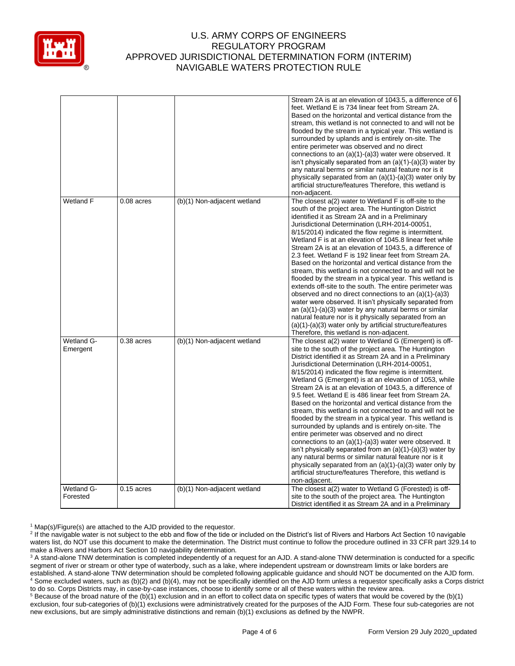

|                        |              |                             | Stream 2A is at an elevation of 1043.5, a difference of 6<br>feet. Wetland E is 734 linear feet from Stream 2A.<br>Based on the horizontal and vertical distance from the<br>stream, this wetland is not connected to and will not be<br>flooded by the stream in a typical year. This wetland is<br>surrounded by uplands and is entirely on-site. The<br>entire perimeter was observed and no direct<br>connections to an $(a)(1)-(a)3)$ water were observed. It<br>isn't physically separated from an (a)(1)-(a)(3) water by<br>any natural berms or similar natural feature nor is it<br>physically separated from an $(a)(1)-(a)(3)$ water only by<br>artificial structure/features Therefore, this wetland is<br>non-adjacent.                                                                                                                                                                                                                                                                                                                                                      |
|------------------------|--------------|-----------------------------|-------------------------------------------------------------------------------------------------------------------------------------------------------------------------------------------------------------------------------------------------------------------------------------------------------------------------------------------------------------------------------------------------------------------------------------------------------------------------------------------------------------------------------------------------------------------------------------------------------------------------------------------------------------------------------------------------------------------------------------------------------------------------------------------------------------------------------------------------------------------------------------------------------------------------------------------------------------------------------------------------------------------------------------------------------------------------------------------|
| <b>Wetland F</b>       | $0.08$ acres | (b)(1) Non-adjacent wetland | The closest $a(2)$ water to Wetland F is off-site to the<br>south of the project area. The Huntington District<br>identified it as Stream 2A and in a Preliminary<br>Jurisdictional Determination (LRH-2014-00051,<br>8/15/2014) indicated the flow regime is intermittent.<br>Wetland F is at an elevation of 1045.8 linear feet while<br>Stream 2A is at an elevation of 1043.5, a difference of<br>2.3 feet. Wetland F is 192 linear feet from Stream 2A.<br>Based on the horizontal and vertical distance from the<br>stream, this wetland is not connected to and will not be<br>flooded by the stream in a typical year. This wetland is<br>extends off-site to the south. The entire perimeter was<br>observed and no direct connections to an (a)(1)-(a)3)<br>water were observed. It isn't physically separated from<br>an $(a)(1)-(a)(3)$ water by any natural berms or similar<br>natural feature nor is it physically separated from an<br>$(a)(1)$ - $(a)(3)$ water only by artificial structure/features<br>Therefore, this wetland is non-adjacent.                        |
| Wetland G-<br>Emergent | $0.38$ acres | (b)(1) Non-adjacent wetland | The closest a(2) water to Wetland G (Emergent) is off-<br>site to the south of the project area. The Huntington<br>District identified it as Stream 2A and in a Preliminary<br>Jurisdictional Determination (LRH-2014-00051,<br>8/15/2014) indicated the flow regime is intermittent.<br>Wetland G (Emergent) is at an elevation of 1053, while<br>Stream 2A is at an elevation of 1043.5, a difference of<br>9.5 feet. Wetland E is 486 linear feet from Stream 2A.<br>Based on the horizontal and vertical distance from the<br>stream, this wetland is not connected to and will not be<br>flooded by the stream in a typical year. This wetland is<br>surrounded by uplands and is entirely on-site. The<br>entire perimeter was observed and no direct<br>connections to an $(a)(1)-(a)3)$ water were observed. It<br>isn't physically separated from an $(a)(1)-(a)(3)$ water by<br>any natural berms or similar natural feature nor is it<br>physically separated from an (a)(1)-(a)(3) water only by<br>artificial structure/features Therefore, this wetland is<br>non-adjacent. |
| Wetland G-<br>Forested | $0.15$ acres | (b)(1) Non-adjacent wetland | The closest a(2) water to Wetland G (Forested) is off-<br>site to the south of the project area. The Huntington<br>District identified it as Stream 2A and in a Preliminary                                                                                                                                                                                                                                                                                                                                                                                                                                                                                                                                                                                                                                                                                                                                                                                                                                                                                                               |

<sup>1</sup> Map(s)/Figure(s) are attached to the AJD provided to the requestor.

 $5$  Because of the broad nature of the (b)(1) exclusion and in an effort to collect data on specific types of waters that would be covered by the (b)(1) exclusion, four sub-categories of (b)(1) exclusions were administratively created for the purposes of the AJD Form. These four sub-categories are not new exclusions, but are simply administrative distinctions and remain (b)(1) exclusions as defined by the NWPR.

<sup>&</sup>lt;sup>2</sup> If the navigable water is not subject to the ebb and flow of the tide or included on the District's list of Rivers and Harbors Act Section 10 navigable waters list, do NOT use this document to make the determination. The District must continue to follow the procedure outlined in 33 CFR part 329.14 to make a Rivers and Harbors Act Section 10 navigability determination.

<sup>&</sup>lt;sup>3</sup> A stand-alone TNW determination is completed independently of a request for an AJD. A stand-alone TNW determination is conducted for a specific segment of river or stream or other type of waterbody, such as a lake, where independent upstream or downstream limits or lake borders are established. A stand-alone TNW determination should be completed following applicable guidance and should NOT be documented on the AJD form. <sup>4</sup> Some excluded waters, such as (b)(2) and (b)(4), may not be specifically identified on the AJD form unless a requestor specifically asks a Corps district to do so. Corps Districts may, in case-by-case instances, choose to identify some or all of these waters within the review area.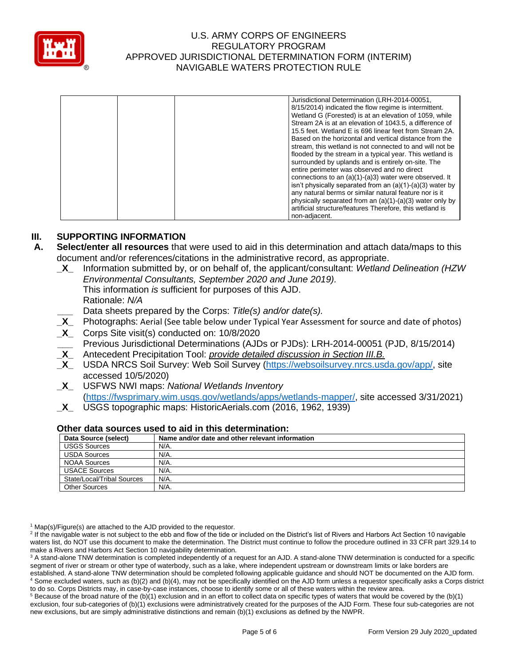

| Jurisdictional Determination (LRH-2014-00051,<br>8/15/2014) indicated the flow regime is intermittent.<br>Wetland G (Forested) is at an elevation of 1059, while<br>Stream 2A is at an elevation of 1043.5, a difference of<br>15.5 feet. Wetland E is 696 linear feet from Stream 2A.<br>Based on the horizontal and vertical distance from the<br>stream, this wetland is not connected to and will not be<br>flooded by the stream in a typical year. This wetland is<br>surrounded by uplands and is entirely on-site. The<br>entire perimeter was observed and no direct<br>connections to an $(a)(1)-(a)3)$ water were observed. It<br>isn't physically separated from an $(a)(1)-(a)(3)$ water by |
|----------------------------------------------------------------------------------------------------------------------------------------------------------------------------------------------------------------------------------------------------------------------------------------------------------------------------------------------------------------------------------------------------------------------------------------------------------------------------------------------------------------------------------------------------------------------------------------------------------------------------------------------------------------------------------------------------------|
| any natural berms or similar natural feature nor is it                                                                                                                                                                                                                                                                                                                                                                                                                                                                                                                                                                                                                                                   |
| physically separated from an $(a)(1)-(a)(3)$ water only by<br>artificial structure/features Therefore, this wetland is<br>non-adjacent.                                                                                                                                                                                                                                                                                                                                                                                                                                                                                                                                                                  |

# **III. SUPPORTING INFORMATION**

- **A. Select/enter all resources** that were used to aid in this determination and attach data/maps to this document and/or references/citations in the administrative record, as appropriate.
	- **\_X\_** Information submitted by, or on behalf of, the applicant/consultant: *Wetland Delineation (HZW Environmental Consultants, September 2020 and June 2019).* This information *is* sufficient for purposes of this AJD. Rationale: *N/A* 
		- **\_\_\_** Data sheets prepared by the Corps: *Title(s) and/or date(s).*
	- **\_X\_** Photographs: Aerial (See table below under Typical Year Assessment for source and date of photos)
	- **\_X\_** Corps Site visit(s) conducted on: 10/8/2020
	- **\_\_\_** Previous Jurisdictional Determinations (AJDs or PJDs): LRH-2014-00051 (PJD, 8/15/2014)
	- **\_X\_** Antecedent Precipitation Tool: *provide detailed discussion in Section III.B.*
	- **\_X\_** USDA NRCS Soil Survey: Web Soil Survey [\(https://websoilsurvey.nrcs.usda.gov/app/,](https://websoilsurvey.nrcs.usda.gov/app/) site accessed 10/5/2020)
	- **\_X\_** USFWS NWI maps: *National Wetlands Inventory*  [\(https://fwsprimary.wim.usgs.gov/wetlands/apps/wetlands-mapper/,](https://fwsprimary.wim.usgs.gov/wetlands/apps/wetlands-mapper/) site accessed 3/31/2021)
	- **\_X\_** USGS topographic maps: HistoricAerials.com (2016, 1962, 1939)

#### **Other data sources used to aid in this determination:**

| Data Source (select)       | Name and/or date and other relevant information |
|----------------------------|-------------------------------------------------|
| <b>USGS Sources</b>        | N/A.                                            |
| <b>USDA Sources</b>        | N/A.                                            |
| NOAA Sources               | N/A.                                            |
| <b>USACE Sources</b>       | N/A.                                            |
| State/Local/Tribal Sources | N/A.                                            |
| <b>Other Sources</b>       | N/A.                                            |

 $1$  Map(s)/Figure(s) are attached to the AJD provided to the requestor.

<sup>2</sup> If the navigable water is not subject to the ebb and flow of the tide or included on the District's list of Rivers and Harbors Act Section 10 navigable waters list, do NOT use this document to make the determination. The District must continue to follow the procedure outlined in 33 CFR part 329.14 to make a Rivers and Harbors Act Section 10 navigability determination.

<sup>3</sup> A stand-alone TNW determination is completed independently of a request for an AJD. A stand-alone TNW determination is conducted for a specific segment of river or stream or other type of waterbody, such as a lake, where independent upstream or downstream limits or lake borders are established. A stand-alone TNW determination should be completed following applicable guidance and should NOT be documented on the AJD form. <sup>4</sup> Some excluded waters, such as (b)(2) and (b)(4), may not be specifically identified on the AJD form unless a requestor specifically asks a Corps district

to do so. Corps Districts may, in case-by-case instances, choose to identify some or all of these waters within the review area.  $5$  Because of the broad nature of the (b)(1) exclusion and in an effort to collect data on specific types of waters that would be covered by the (b)(1) exclusion, four sub-categories of (b)(1) exclusions were administratively created for the purposes of the AJD Form. These four sub-categories are not new exclusions, but are simply administrative distinctions and remain (b)(1) exclusions as defined by the NWPR.